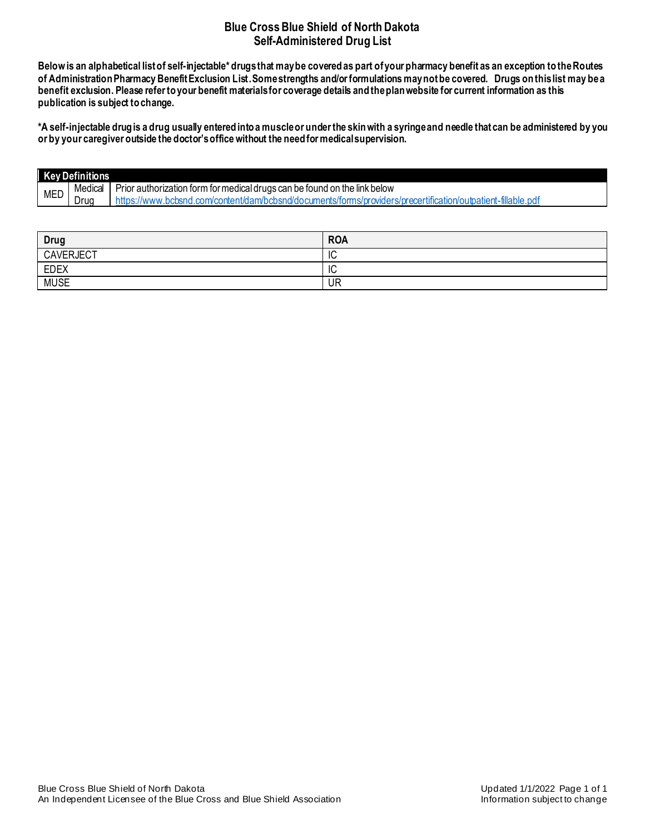# **Blue Cross Blue Shield of North Dakota Self-Administered Drug List**

**Below is an alphabetical list of self-injectable\* drugs that may be coveredas part of your pharmacy benefit as an exception to the Routes of Administration Pharmacy Benefit Exclusion List. Some strengths and/or formulations may not be covered. Drugs on this list may bea benefit exclusion. Please refer to your benefit materials for coverage details and the plan website for current information as this publication is subject to change.** 

**\*A self-injectable drug is a drug usually entered into a muscle or under the skin with a syringe and needle that can be administered by you or by your caregiver outside the doctor's office without the need for medical supervision.**

| Key Definitions |      |                                                                                                              |  |
|-----------------|------|--------------------------------------------------------------------------------------------------------------|--|
| <b>MED</b>      |      | Medical   Prior authorization form for medical drugs can be found on the link below                          |  |
|                 | Drua | https://www.bcbsnd.com/content/dam/bcbsnd/documents/forms/providers/precertification/outpatient-fillable.pdf |  |

| Drug             | <b>ROA</b> |
|------------------|------------|
| <b>CAVERJECT</b> | ΙC         |
| <b>EDEX</b>      | ΙC         |
| <b>MUSE</b>      | UR         |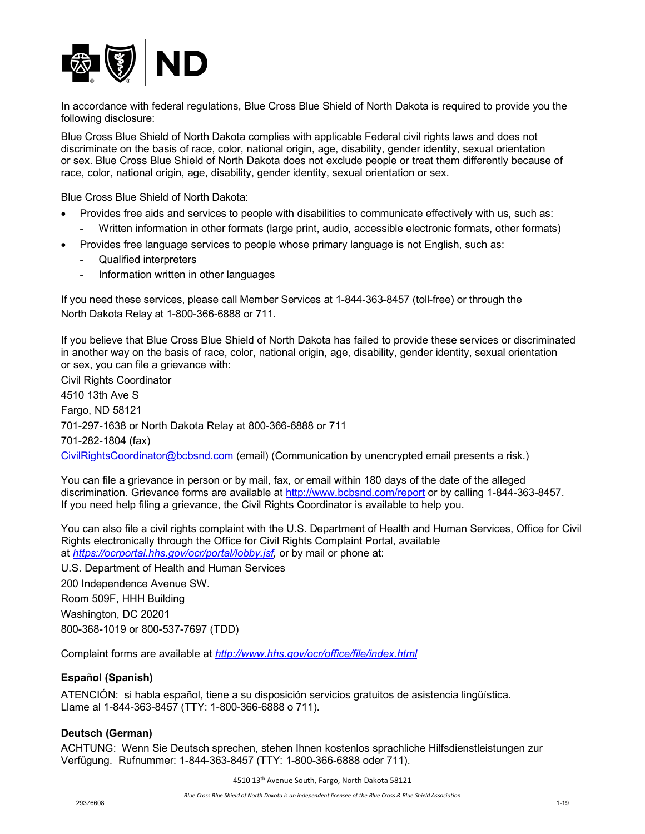

In accordance with federal regulations, Blue Cross Blue Shield of North Dakota is required to provide you the following disclosure:

Blue Cross Blue Shield of North Dakota complies with applicable Federal civil rights laws and does not discriminate on the basis of race, color, national origin, age, disability, gender identity, sexual orientation or sex. Blue Cross Blue Shield of North Dakota does not exclude people or treat them differently because of race, color, national origin, age, disability, gender identity, sexual orientation or sex.

Blue Cross Blue Shield of North Dakota:

- Provides free aids and services to people with disabilities to communicate effectively with us, such as:
	- Written information in other formats (large print, audio, accessible electronic formats, other formats)
- Provides free language services to people whose primary language is not English, such as:
	- Qualified interpreters
	- Information written in other languages

If you need these services, please call Member Services at 1-844-363-8457 (toll-free) or through the North Dakota Relay at 1-800-366-6888 or 711.

If you believe that Blue Cross Blue Shield of North Dakota has failed to provide these services or discriminated in another way on the basis of race, color, national origin, age, disability, gender identity, sexual orientation or sex, you can file a grievance with:

Civil Rights Coordinator 4510 13th Ave S Fargo, ND 58121 701-297-1638 or North Dakota Relay at 800-366-6888 or 711 701-282-1804 (fax) CivilRightsCoordinator@bcbsnd.com (email) (Communication by unencrypted email presents a risk.)

You can file a grievance in person or by mail, fax, or email within 180 days of the date of the alleged discrimination. Grievance forms are available at http://www.bcbsnd.com/report or by calling 1-844-363-8457. If you need help filing a grievance, the Civil Rights Coordinator is available to help you.

You can also file a civil rights complaint with the U.S. Department of Health and Human Services, Office for Civil Rights electronically through the Office for Civil Rights Complaint Portal, available at *https://ocrportal.hhs.gov/ocr/portal/lobby.jsf,* or by mail or phone at:

U.S. Department of Health and Human Services 200 Independence Avenue SW. Room 509F, HHH Building Washington, DC 20201 800-368-1019 or 800-537-7697 (TDD)

Complaint forms are available at *http://www.hhs.gov/ocr/office/file/index.html*

# **Español (Spanish)**

ATENCIÓN: si habla español, tiene a su disposición servicios gratuitos de asistencia lingüística. Llame al 1-844-363-8457 (TTY: 1-800-366-6888 o 711).

#### **Deutsch (German)**

ACHTUNG: Wenn Sie Deutsch sprechen, stehen Ihnen kostenlos sprachliche Hilfsdienstleistungen zur Verfügung. Rufnummer: 1-844-363-8457 (TTY: 1-800-366-6888 oder 711).

4510 13th Avenue South, Fargo, North Dakota 58121